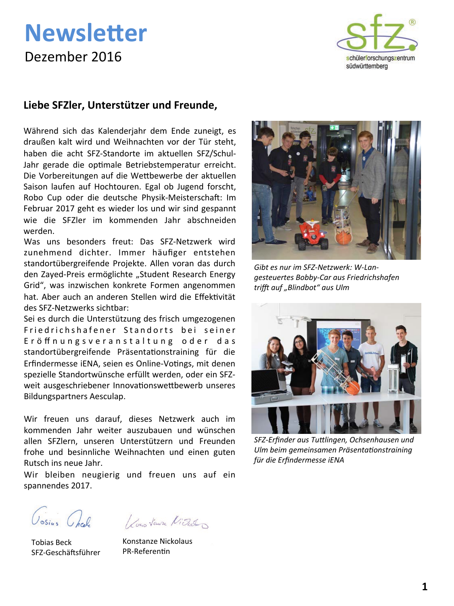## **Newsletter** Dezember 2016



### Liebe SFZler, Unterstützer und Freunde,

Während sich das Kalenderjahr dem Ende zuneigt, es draußen kalt wird und Weihnachten vor der Tür steht, haben die acht SFZ-Standorte im aktuellen SFZ/Schul-Jahr gerade die optimale Betriebstemperatur erreicht. Die Vorbereitungen auf die Wettbewerbe der aktuellen Saison laufen auf Hochtouren. Egal ob Jugend forscht, Robo Cup oder die deutsche Physik-Meisterschaft: Im Februar 2017 geht es wieder los und wir sind gespannt wie die SFZler im kommenden Jahr abschneiden werden.

Was uns besonders freut: Das SFZ-Netzwerk wird zunehmend dichter. Immer häufiger entstehen standortübergreifende Projekte. Allen voran das durch den Zayed-Preis ermöglichte "Student Research Energy Grid", was inzwischen konkrete Formen angenommen hat. Aber auch an anderen Stellen wird die Effektivität des SFZ-Netzwerks sichtbar:

Sei es durch die Unterstützung des frisch umgezogenen Friedrichshafener Standorts bei seiner Eröffnungsveranstaltung oder das standortübergreifende Präsentationstraining für die Erfindermesse iENA, seien es Online-Votings, mit denen spezielle Standortwünsche erfüllt werden, oder ein SFZweit ausgeschriebener Innovationswettbewerb unseres Bildungspartners Aesculap.

Wir freuen uns darauf, dieses Netzwerk auch im kommenden Jahr weiter auszubauen und wünschen allen SFZlern, unseren Unterstützern und Freunden frohe und besinnliche Weihnachten und einen guten Rutsch ins neue Jahr.

Wir bleiben neugierig und freuen uns auf ein spannendes 2017.

**Tobias Beck** SFZ-Geschäftsführer

Ossius Onche Vous Vaux Video

Konstanze Nickolaus PR-Referentin



Gibt es nur im SFZ-Netzwerk: W-Langesteuertes Bobby-Car aus Friedrichshafen trifft auf "Blindbot" aus Ulm



SFZ-Erfinder aus Tuttlingen, Ochsenhausen und Ulm beim gemeinsamen Präsentationstraining für die Erfindermesse iENA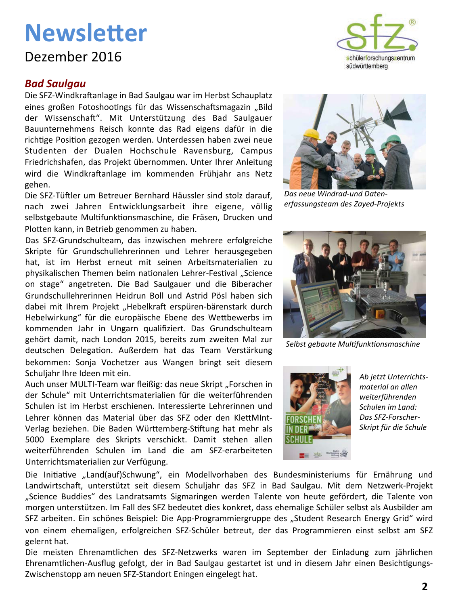### Dezember 2016

### **Bad Saulgau**

Die SFZ-Windkraftanlage in Bad Saulgau war im Herbst Schauplatz eines großen Fotoshootings für das Wissenschaftsmagazin "Bild der Wissenschaft". Mit Unterstützung des Bad Saulgauer Bauunternehmens Reisch konnte das Rad eigens dafür in die richtige Position gezogen werden. Unterdessen haben zwei neue Studenten der Dualen Hochschule Ravensburg, Campus Friedrichshafen, das Projekt übernommen. Unter Ihrer Anleitung wird die Windkraftanlage im kommenden Frühjahr ans Netz gehen.

Die SFZ-Tüftler um Betreuer Bernhard Häussler sind stolz darauf, nach zwei Jahren Entwicklungsarbeit ihre eigene, völlig selbstgebaute Multifunktionsmaschine, die Fräsen, Drucken und Plotten kann, in Betrieb genommen zu haben.

Das SFZ-Grundschulteam, das inzwischen mehrere erfolgreiche Skripte für Grundschullehrerinnen und Lehrer herausgegeben hat, ist im Herbst erneut mit seinen Arbeitsmaterialien zu physikalischen Themen beim nationalen Lehrer-Festival "Science on stage" angetreten. Die Bad Saulgauer und die Biberacher Grundschullehrerinnen Heidrun Boll und Astrid Pösl haben sich dabei mit Ihrem Projekt "Hebelkraft erspüren-bärenstark durch Hebelwirkung" für die europäische Ebene des Wettbewerbs im kommenden Jahr in Ungarn qualifiziert. Das Grundschulteam gehört damit, nach London 2015, bereits zum zweiten Mal zur deutschen Delegation. Außerdem hat das Team Verstärkung bekommen: Sonja Vochetzer aus Wangen bringt seit diesem Schuljahr Ihre Ideen mit ein.

Auch unser MULTI-Team war fleißig: das neue Skript "Forschen in der Schule" mit Unterrichtsmaterialien für die weiterführenden Schulen ist im Herbst erschienen. Interessierte Lehrerinnen und Lehrer können das Material über das SFZ oder den KlettMInt-Verlag beziehen. Die Baden Württemberg-Stiftung hat mehr als 5000 Exemplare des Skripts verschickt. Damit stehen allen weiterführenden Schulen im Land die am SFZ-erarbeiteten Unterrichtsmaterialien zur Verfügung.



Das neue Windrad-und Datenerfassungsteam des Zayed-Projekts



Selbst gebaute Multifunktionsmaschine



Ab jetzt Unterrichtsmaterial an allen weiterführenden Schulen im Land: Das SFZ-Forscher-Skript für die Schule

Die Initiative "Land(auf)Schwung", ein Modellvorhaben des Bundesministeriums für Ernährung und Landwirtschaft, unterstützt seit diesem Schuljahr das SFZ in Bad Saulgau. Mit dem Netzwerk-Projekt "Science Buddies" des Landratsamts Sigmaringen werden Talente von heute gefördert, die Talente von morgen unterstützen. Im Fall des SFZ bedeutet dies konkret, dass ehemalige Schüler selbst als Ausbilder am SFZ arbeiten. Ein schönes Beispiel: Die App-Programmiergruppe des "Student Research Energy Grid" wird von einem ehemaligen, erfolgreichen SFZ-Schüler betreut, der das Programmieren einst selbst am SFZ gelernt hat.

Die meisten Ehrenamtlichen des SFZ-Netzwerks waren im September der Einladung zum jährlichen Ehrenamtlichen-Ausflug gefolgt, der in Bad Saulgau gestartet ist und in diesem Jahr einen Besichtigungs-Zwischenstopp am neuen SFZ-Standort Eningen eingelegt hat.

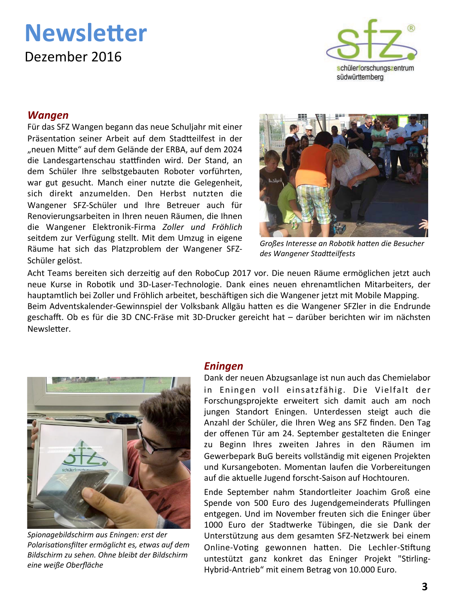## **Newsletter** Dezember 2016



#### **Wangen**

Für das SFZ Wangen begann das neue Schuljahr mit einer Präsentation seiner Arbeit auf dem Stadtteilfest in der "neuen Mitte" auf dem Gelände der ERBA, auf dem 2024 die Landesgartenschau stattfinden wird. Der Stand, an dem Schüler Ihre selbstgebauten Roboter vorführten, war gut gesucht. Manch einer nutzte die Gelegenheit, sich direkt anzumelden. Den Herbst nutzten die Wangener SFZ-Schüler und Ihre Betreuer auch für Renovierungsarbeiten in Ihren neuen Räumen, die Ihnen die Wangener Elektronik-Firma Zoller und Fröhlich seitdem zur Verfügung stellt. Mit dem Umzug in eigene Räume hat sich das Platzproblem der Wangener SFZ-Schüler gelöst.



Großes Interesse an Robotik hatten die Besucher des Wangener Stadtteilfests

Acht Teams bereiten sich derzeitig auf den RoboCup 2017 vor. Die neuen Räume ermöglichen jetzt auch neue Kurse in Robotik und 3D-Laser-Technologie. Dank eines neuen ehrenamtlichen Mitarbeiters, der hauptamtlich bei Zoller und Fröhlich arbeitet, beschäftigen sich die Wangener jetzt mit Mobile Mapping. Beim Adventskalender-Gewinnspiel der Volksbank Allgäu hatten es die Wangener SFZler in die Endrunde geschafft. Ob es für die 3D CNC-Fräse mit 3D-Drucker gereicht hat - darüber berichten wir im nächsten Newsletter.



Spionagebildschirm aus Eningen: erst der Polarisationsfilter ermöglicht es, etwas auf dem Bildschirm zu sehen. Ohne bleibt der Bildschirm eine weiße Oberfläche

#### **Eningen**

Dank der neuen Abzugsanlage ist nun auch das Chemielabor in Eningen voll einsatzfähig. Die Vielfalt der Forschungsprojekte erweitert sich damit auch am noch jungen Standort Eningen. Unterdessen steigt auch die Anzahl der Schüler, die Ihren Weg ans SFZ finden. Den Tag der offenen Tür am 24. September gestalteten die Eninger zu Beginn Ihres zweiten Jahres in den Räumen im Gewerbepark BuG bereits vollständig mit eigenen Projekten und Kursangeboten. Momentan laufen die Vorbereitungen auf die aktuelle Jugend forscht-Saison auf Hochtouren.

Ende September nahm Standortleiter Joachim Groß eine Spende von 500 Euro des Jugendgemeinderats Pfullingen entgegen. Und im November freuten sich die Eninger über 1000 Euro der Stadtwerke Tübingen, die sie Dank der Unterstützung aus dem gesamten SFZ-Netzwerk bei einem Online-Voting gewonnen hatten. Die Lechler-Stiftung untestützt ganz konkret das Eninger Projekt "Stirling-Hybrid-Antrieb" mit einem Betrag von 10.000 Euro.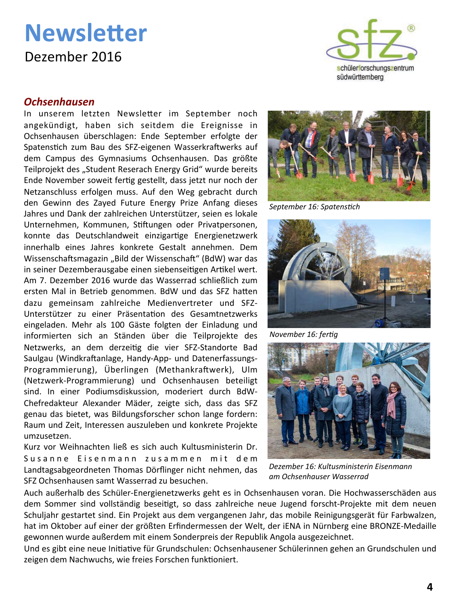### **Newsletter** Dezember 2016



In unserem letzten Newsletter im September noch angekündigt, haben sich seitdem die Ereignisse in Ochsenhausen überschlagen: Ende September erfolgte der Spatenstich zum Bau des SFZ-eigenen Wasserkraftwerks auf dem Campus des Gymnasiums Ochsenhausen. Das größte Teilprojekt des "Student Reserach Energy Grid" wurde bereits Ende November soweit fertig gestellt, dass jetzt nur noch der Netzanschluss erfolgen muss. Auf den Weg gebracht durch den Gewinn des Zayed Future Energy Prize Anfang dieses Jahres und Dank der zahlreichen Unterstützer, seien es lokale Unternehmen, Kommunen, Stiftungen oder Privatpersonen, konnte das Deutschlandweit einzigartige Energienetzwerk innerhalb eines Jahres konkrete Gestalt annehmen. Dem Wissenschaftsmagazin "Bild der Wissenschaft" (BdW) war das in seiner Dezemberausgabe einen siebenseitigen Artikel wert. Am 7. Dezember 2016 wurde das Wasserrad schließlich zum ersten Mal in Betrieb genommen. BdW und das SFZ hatten dazu gemeinsam zahlreiche Medienvertreter und SFZ-Unterstützer zu einer Präsentation des Gesamtnetzwerks eingeladen. Mehr als 100 Gäste folgten der Einladung und informierten sich an Ständen über die Teilprojekte des Netzwerks, an dem derzeitig die vier SFZ-Standorte Bad Saulgau (Windkraftanlage, Handy-App- und Datenerfassungs-Programmierung), Überlingen (Methankraftwerk), Ulm (Netzwerk-Programmierung) und Ochsenhausen beteiligt sind. In einer Podiumsdiskussion, moderiert durch BdW-Chefredakteur Alexander Mäder, zeigte sich, dass das SFZ genau das bietet, was Bildungsforscher schon lange fordern: Raum und Zeit, Interessen auszuleben und konkrete Projekte umzusetzen.

Kurz vor Weihnachten ließ es sich auch Kultusministerin Dr. Susanne Eisenmann zusammen mit dem Landtagsabgeordneten Thomas Dörflinger nicht nehmen, das SFZ Ochsenhausen samt Wasserrad zu besuchen.





September 16: Spatenstich



November 16: fertig



Dezember 16: Kultusministerin Eisenmann am Ochsenhauser Wasserrad

Auch außerhalb des Schüler-Energienetzwerks geht es in Ochsenhausen voran. Die Hochwasserschäden aus dem Sommer sind vollständig beseitigt, so dass zahlreiche neue Jugend forscht-Projekte mit dem neuen Schuljahr gestartet sind. Ein Projekt aus dem vergangenen Jahr, das mobile Reinigungsgerät für Farbwalzen, hat im Oktober auf einer der größten Erfindermessen der Welt, der iENA in Nürnberg eine BRONZE-Medaille gewonnen wurde außerdem mit einem Sonderpreis der Republik Angola ausgezeichnet.

Und es gibt eine neue Initiative für Grundschulen: Ochsenhausener Schülerinnen gehen an Grundschulen und zeigen dem Nachwuchs, wie freies Forschen funktioniert.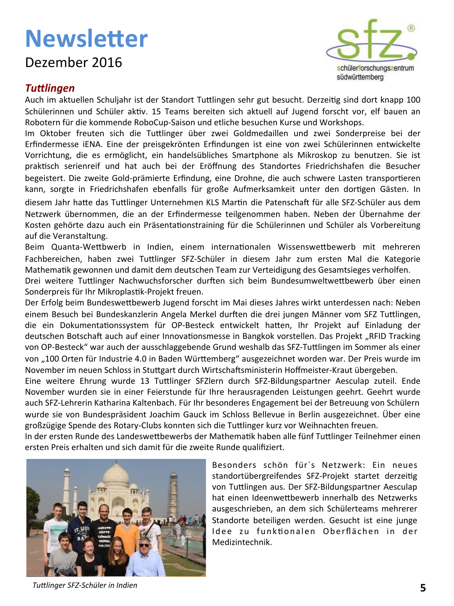### Dezember 2016



#### **Tuttlingen**

Auch im aktuellen Schuljahr ist der Standort Tuttlingen sehr gut besucht. Derzeitig sind dort knapp 100 Schülerinnen und Schüler aktiv. 15 Teams bereiten sich aktuell auf Jugend forscht vor, elf bauen an Robotern für die kommende RoboCup-Saison und etliche besuchen Kurse und Workshops.

Im Oktober freuten sich die Tuttlinger über zwei Goldmedaillen und zwei Sonderpreise bei der Erfindermesse iENA. Eine der preisgekrönten Erfindungen ist eine von zwei Schülerinnen entwickelte Vorrichtung, die es ermöglicht, ein handelsübliches Smartphone als Mikroskop zu benutzen. Sie ist praktisch serienreif und hat auch bei der Eröffnung des Standortes Friedrichshafen die Besucher begeistert. Die zweite Gold-prämierte Erfindung, eine Drohne, die auch schwere Lasten transportieren kann, sorgte in Friedrichshafen ebenfalls für große Aufmerksamkeit unter den dortigen Gästen. In diesem Jahr hatte das Tuttlinger Unternehmen KLS Martin die Patenschaft für alle SFZ-Schüler aus dem Netzwerk übernommen, die an der Erfindermesse teilgenommen haben. Neben der Übernahme der Kosten gehörte dazu auch ein Präsentationstraining für die Schülerinnen und Schüler als Vorbereitung auf die Veranstaltung.

Beim Quanta-Wettbwerb in Indien, einem internationalen Wissenswettbewerb mit mehreren Fachbereichen, haben zwei Tuttlinger SFZ-Schüler in diesem Jahr zum ersten Mal die Kategorie Mathematik gewonnen und damit dem deutschen Team zur Verteidigung des Gesamtsieges verholfen.

Drei weitere Tuttlinger Nachwuchsforscher durften sich beim Bundesumweltwettbewerb über einen Sonderpreis für Ihr Mikroplastik-Projekt freuen.

Der Erfolg beim Bundeswettbewerb Jugend forscht im Mai dieses Jahres wirkt unterdessen nach: Neben einem Besuch bei Bundeskanzlerin Angela Merkel durften die drei jungen Männer vom SFZ Tuttlingen. die ein Dokumentationssystem für OP-Besteck entwickelt hatten, Ihr Projekt auf Einladung der deutschen Botschaft auch auf einer Innovationsmesse in Bangkok vorstellen. Das Projekt "RFID Tracking von OP-Besteck" war auch der ausschlaggebende Grund weshalb das SFZ-Tuttlingen im Sommer als einer von "100 Orten für Industrie 4.0 in Baden Württemberg" ausgezeichnet worden war. Der Preis wurde im November im neuen Schloss in Stuttgart durch Wirtschaftsministerin Hoffmeister-Kraut übergeben.

Eine weitere Ehrung wurde 13 Tuttlinger SFZlern durch SFZ-Bildungspartner Aesculap zuteil. Ende November wurden sie in einer Feierstunde für Ihre herausragenden Leistungen geehrt. Geehrt wurde auch SFZ-Lehrerin Katharina Kaltenbach. Für Ihr besonderes Engagement bei der Betreuung von Schülern wurde sie von Bundespräsident Joachim Gauck im Schloss Bellevue in Berlin ausgezeichnet. Über eine großzügige Spende des Rotary-Clubs konnten sich die Tuttlinger kurz vor Weihnachten freuen.

In der ersten Runde des Landeswettbewerbs der Mathematik haben alle fünf Tuttlinger Teilnehmer einen ersten Preis erhalten und sich damit für die zweite Runde qualifiziert.



Besonders schön für's Netzwerk: Ein neues standortübergreifendes SFZ-Projekt startet derzeitig von Tuttlingen aus. Der SFZ-Bildungspartner Aesculap hat einen Ideenwettbewerb innerhalb des Netzwerks ausgeschrieben, an dem sich Schülerteams mehrerer Standorte beteiligen werden. Gesucht ist eine junge Idee zu funktionalen Oberflächen in der Medizintechnik.

Tuttlinger SFZ-Schüler in Indien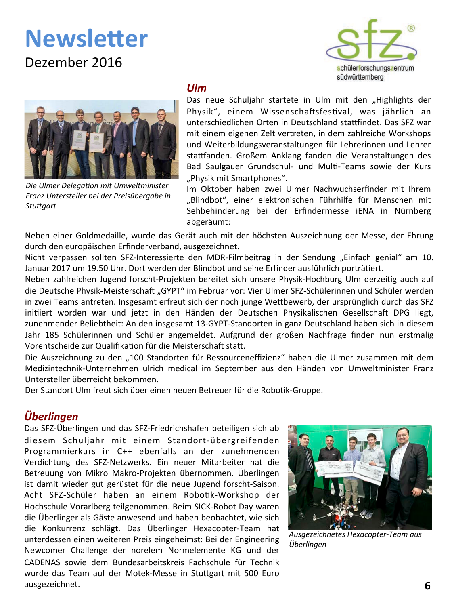### Dezember 2016





Die Ulmer Delegation mit Umweltminister Franz Untersteller bei der Preisübergabe in **Stuttgart** 

#### $U/m$

Das neue Schuljahr startete in Ulm mit den "Highlights der Physik", einem Wissenschaftsfestival, was jährlich an unterschiedlichen Orten in Deutschland stattfindet. Das SFZ war mit einem eigenen Zelt vertreten, in dem zahlreiche Workshops und Weiterbildungsveranstaltungen für Lehrerinnen und Lehrer stattfanden. Großem Anklang fanden die Veranstaltungen des Bad Saulgauer Grundschul- und Multi-Teams sowie der Kurs "Physik mit Smartphones".

Im Oktober haben zwei Ulmer Nachwuchserfinder mit Ihrem "Blindbot", einer elektronischen Führhilfe für Menschen mit Sehbehinderung bei der Erfindermesse iENA in Nürnberg abgeräumt:

Neben einer Goldmedaille, wurde das Gerät auch mit der höchsten Auszeichnung der Messe, der Ehrung durch den europäischen Erfinderverband, ausgezeichnet.

Nicht verpassen sollten SFZ-Interessierte den MDR-Filmbeitrag in der Sendung "Einfach genial" am 10. Januar 2017 um 19.50 Uhr. Dort werden der Blindbot und seine Erfinder ausführlich porträtiert.

Neben zahlreichen Jugend forscht-Projekten bereitet sich unsere Physik-Hochburg Ulm derzeitig auch auf die Deutsche Physik-Meisterschaft "GYPT" im Februar vor: Vier Ulmer SFZ-Schülerinnen und Schüler werden in zwei Teams antreten. Insgesamt erfreut sich der noch junge Wettbewerb, der ursprünglich durch das SFZ initiiert worden war und jetzt in den Händen der Deutschen Physikalischen Gesellschaft DPG liegt, zunehmender Beliebtheit: An den insgesamt 13-GYPT-Standorten in ganz Deutschland haben sich in diesem Jahr 185 Schülerinnen und Schüler angemeldet. Aufgrund der großen Nachfrage finden nun erstmalig Vorentscheide zur Qualifikation für die Meisterschaft statt.

Die Auszeichnung zu den "100 Standorten für Ressourceneffizienz" haben die Ulmer zusammen mit dem Medizintechnik-Unternehmen ulrich medical im September aus den Händen von Umweltminister Franz Untersteller überreicht bekommen.

Der Standort Ulm freut sich über einen neuen Betreuer für die Robotik-Gruppe.

### **Überlingen**

Das SFZ-Überlingen und das SFZ-Friedrichshafen beteiligen sich ab diesem Schuljahr mit einem Standort-übergreifenden Programmierkurs in C++ ebenfalls an der zunehmenden Verdichtung des SFZ-Netzwerks. Ein neuer Mitarbeiter hat die Betreuung von Mikro Makro-Projekten übernommen. Überlingen ist damit wieder gut gerüstet für die neue Jugend forscht-Saison. Acht SFZ-Schüler haben an einem Robotik-Workshop der Hochschule Vorarlberg teilgenommen. Beim SICK-Robot Day waren die Überlinger als Gäste anwesend und haben beobachtet, wie sich die Konkurrenz schlägt. Das Überlinger Hexacopter-Team hat unterdessen einen weiteren Preis eingeheimst: Bei der Engineering Newcomer Challenge der norelem Normelemente KG und der CADENAS sowie dem Bundesarbeitskreis Fachschule für Technik wurde das Team auf der Motek-Messe in Stuttgart mit 500 Euro ausgezeichnet.



Ausgezeichnetes Hexacopter-Team aus Überlingen